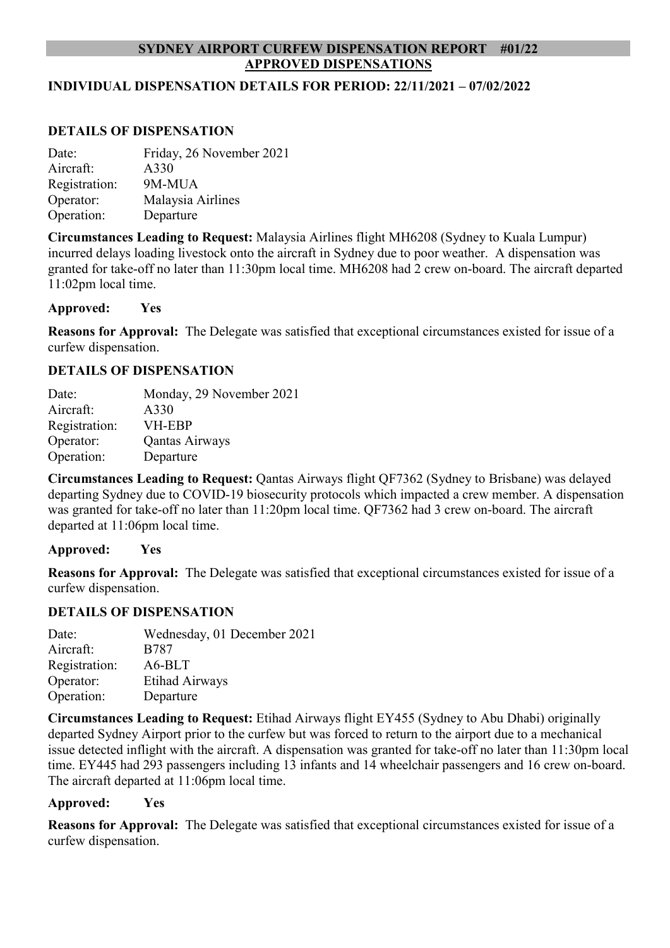# **SYDNEY AIRPORT CURFEW DISPENSATION REPORT #01/22 APPROVED DISPENSATIONS**

### **INDIVIDUAL DISPENSATION DETAILS FOR PERIOD: 22/11/2021 – 07/02/2022**

### **DETAILS OF DISPENSATION**

| Date:         | Friday, 26 November 2021 |
|---------------|--------------------------|
| Aircraft:     | A330                     |
| Registration: | 9M-MUA                   |
| Operator:     | Malaysia Airlines        |
| Operation:    | Departure                |

**Circumstances Leading to Request:** Malaysia Airlines flight MH6208 (Sydney to Kuala Lumpur) incurred delays loading livestock onto the aircraft in Sydney due to poor weather. A dispensation was granted for take-off no later than 11:30pm local time. MH6208 had 2 crew on-board. The aircraft departed 11:02pm local time.

#### **Approved: Yes**

**Reasons for Approval:** The Delegate was satisfied that exceptional circumstances existed for issue of a curfew dispensation.

### **DETAILS OF DISPENSATION**

| Date:         | Monday, 29 November 2021 |
|---------------|--------------------------|
| Aircraft:     | A330                     |
| Registration: | <b>VH-EBP</b>            |
| Operator:     | Qantas Airways           |
| Operation:    | Departure                |

**Circumstances Leading to Request:** Qantas Airways flight QF7362 (Sydney to Brisbane) was delayed departing Sydney due to COVID-19 biosecurity protocols which impacted a crew member. A dispensation was granted for take-off no later than 11:20pm local time. QF7362 had 3 crew on-board. The aircraft departed at 11:06pm local time.

#### **Approved: Yes**

**Reasons for Approval:** The Delegate was satisfied that exceptional circumstances existed for issue of a curfew dispensation.

#### **DETAILS OF DISPENSATION**

| Date:         | Wednesday, 01 December 2021 |
|---------------|-----------------------------|
| Aircraft:     | <b>B787</b>                 |
| Registration: | A6-BLT                      |
| Operator:     | Etihad Airways              |
| Operation:    | Departure                   |

**Circumstances Leading to Request:** Etihad Airways flight EY455 (Sydney to Abu Dhabi) originally departed Sydney Airport prior to the curfew but was forced to return to the airport due to a mechanical issue detected inflight with the aircraft. A dispensation was granted for take-off no later than 11:30pm local time. EY445 had 293 passengers including 13 infants and 14 wheelchair passengers and 16 crew on-board. The aircraft departed at 11:06pm local time.

### **Approved: Yes**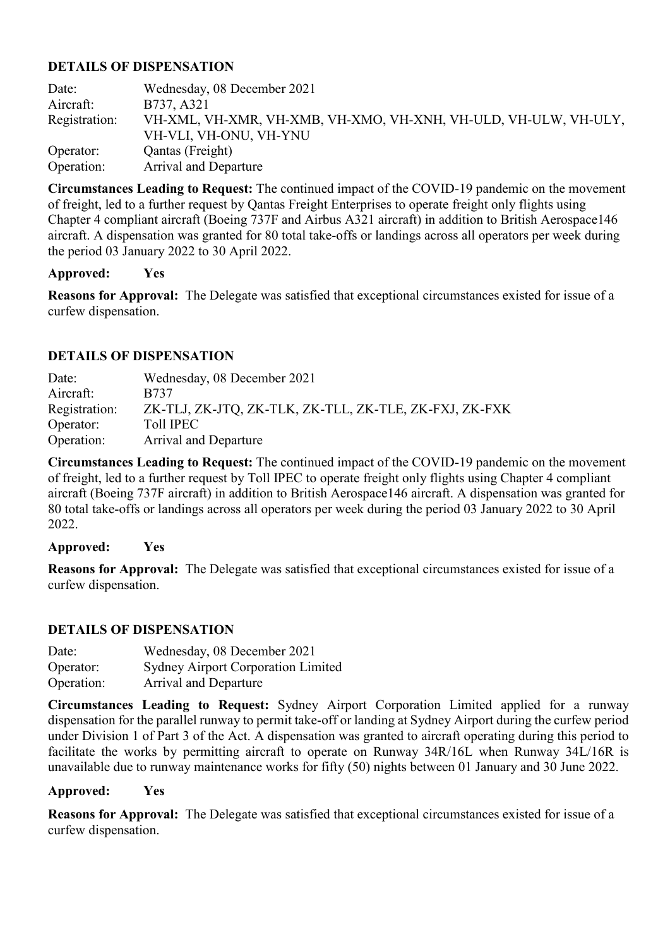Date: Wednesday, 08 December 2021 Aircraft: B737, A321 Registration: VH-XML, VH-XMR, VH-XMB, VH-XMO, VH-XNH, VH-ULD, VH-ULW, VH-ULY, VH-VLI, VH-ONU, VH-YNU Operator: Qantas (Freight) Operation: Arrival and Departure

**Circumstances Leading to Request:** The continued impact of the COVID-19 pandemic on the movement of freight, led to a further request by Qantas Freight Enterprises to operate freight only flights using Chapter 4 compliant aircraft (Boeing 737F and Airbus A321 aircraft) in addition to British Aerospace146 aircraft. A dispensation was granted for 80 total take-offs or landings across all operators per week during the period 03 January 2022 to 30 April 2022.

# **Approved: Yes**

**Reasons for Approval:** The Delegate was satisfied that exceptional circumstances existed for issue of a curfew dispensation.

# **DETAILS OF DISPENSATION**

Date: Wednesday, 08 December 2021 Aircraft: B737 Registration: ZK-TLJ, ZK-JTQ, ZK-TLK, ZK-TLL, ZK-TLE, ZK-FXJ, ZK-FXK Operator: Toll IPEC Operation: Arrival and Departure

**Circumstances Leading to Request:** The continued impact of the COVID-19 pandemic on the movement of freight, led to a further request by Toll IPEC to operate freight only flights using Chapter 4 compliant aircraft (Boeing 737F aircraft) in addition to British Aerospace146 aircraft. A dispensation was granted for 80 total take-offs or landings across all operators per week during the period 03 January 2022 to 30 April 2022.

# **Approved: Yes**

**Reasons for Approval:** The Delegate was satisfied that exceptional circumstances existed for issue of a curfew dispensation.

# **DETAILS OF DISPENSATION**

| Date:      | Wednesday, 08 December 2021               |
|------------|-------------------------------------------|
| Operator:  | <b>Sydney Airport Corporation Limited</b> |
| Operation: | <b>Arrival and Departure</b>              |

**Circumstances Leading to Request:** Sydney Airport Corporation Limited applied for a runway dispensation for the parallel runway to permit take-off or landing at Sydney Airport during the curfew period under Division 1 of Part 3 of the Act. A dispensation was granted to aircraft operating during this period to facilitate the works by permitting aircraft to operate on Runway 34R/16L when Runway 34L/16R is unavailable due to runway maintenance works for fifty (50) nights between 01 January and 30 June 2022.

### **Approved: Yes**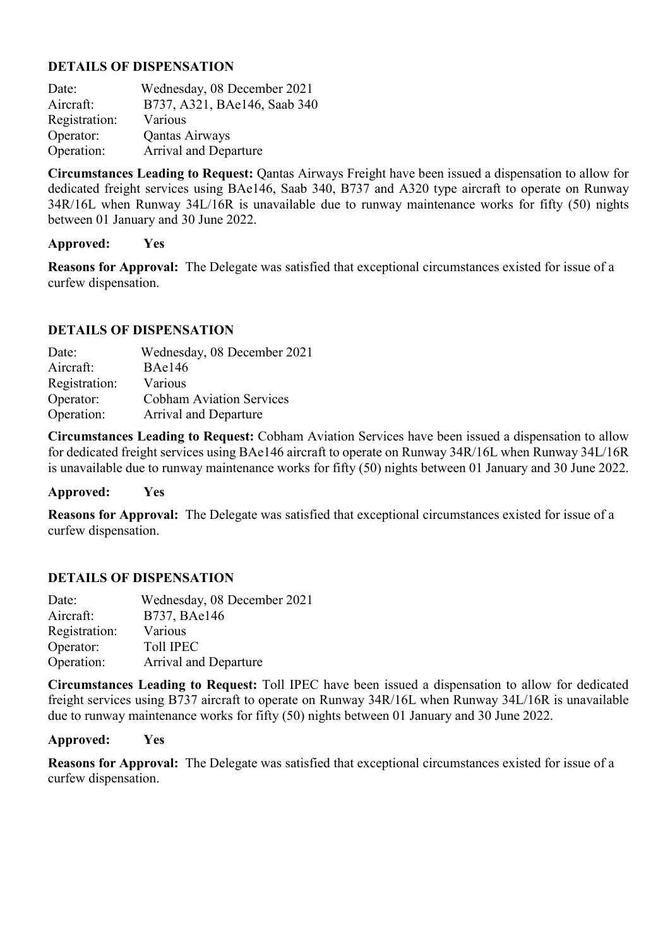| Date:         | Wednesday, 08 December 2021  |
|---------------|------------------------------|
| Aircraft:     | B737, A321, BAe146, Saab 340 |
| Registration: | Various                      |
| Operator:     | Qantas Airways               |
| Operation:    | Arrival and Departure        |

**Circumstances Leading to Request:** Qantas Airways Freight have been issued a dispensation to allow for dedicated freight services using BAe146, Saab 340, B737 and A320 type aircraft to operate on Runway 34R/16L when Runway 34L/16R is unavailable due to runway maintenance works for fifty (50) nights between 01 January and 30 June 2022.

### **Approved: Yes**

**Reasons for Approval:** The Delegate was satisfied that exceptional circumstances existed for issue of a curfew dispensation.

### **DETAILS OF DISPENSATION**

| Date:         | Wednesday, 08 December 2021     |
|---------------|---------------------------------|
| Aircraft:     | <b>BAe146</b>                   |
| Registration: | Various                         |
| Operator:     | <b>Cobham Aviation Services</b> |
| Operation:    | <b>Arrival and Departure</b>    |

**Circumstances Leading to Request:** Cobham Aviation Services have been issued a dispensation to allow for dedicated freight services using BAe146 aircraft to operate on Runway 34R/16L when Runway 34L/16R is unavailable due to runway maintenance works for fifty (50) nights between 01 January and 30 June 2022.

#### **Approved: Yes**

**Reasons for Approval:** The Delegate was satisfied that exceptional circumstances existed for issue of a curfew dispensation.

### **DETAILS OF DISPENSATION**

| Date:         | Wednesday, 08 December 2021 |
|---------------|-----------------------------|
| Aircraft:     | B737, BAe146                |
| Registration: | Various                     |
| Operator:     | <b>Toll IPEC</b>            |
| Operation:    | Arrival and Departure       |

**Circumstances Leading to Request:** Toll IPEC have been issued a dispensation to allow for dedicated freight services using B737 aircraft to operate on Runway 34R/16L when Runway 34L/16R is unavailable due to runway maintenance works for fifty (50) nights between 01 January and 30 June 2022.

#### **Approved: Yes**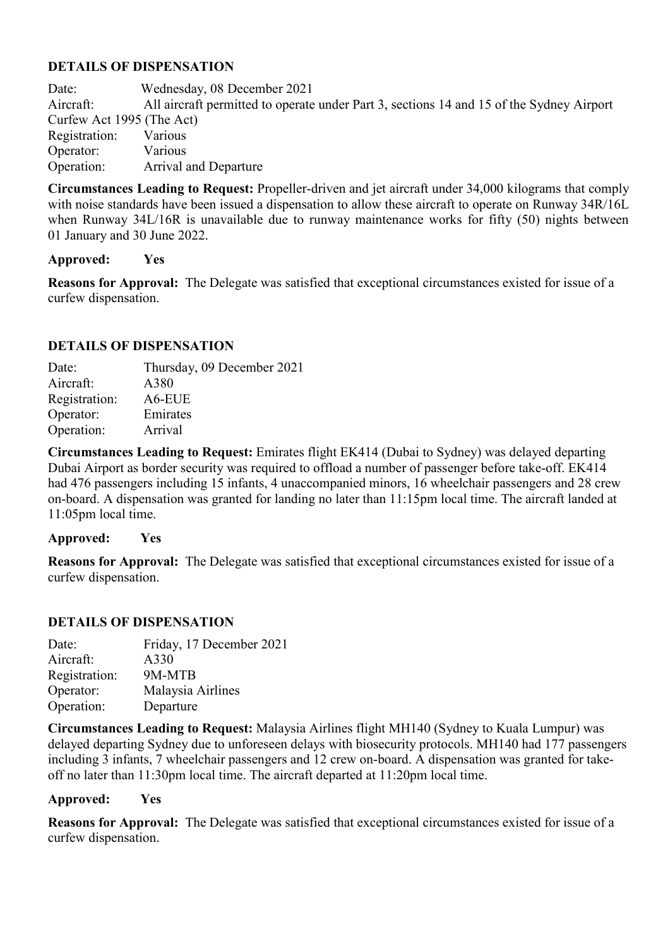Date: Wednesday, 08 December 2021 Aircraft: All aircraft permitted to operate under Part 3, sections 14 and 15 of the Sydney Airport Curfew Act 1995 (The Act) Registration: Various Operator: Various Operation: Arrival and Departure

**Circumstances Leading to Request:** Propeller-driven and jet aircraft under 34,000 kilograms that comply with noise standards have been issued a dispensation to allow these aircraft to operate on Runway 34R/16L when Runway 34L/16R is unavailable due to runway maintenance works for fifty (50) nights between 01 January and 30 June 2022.

### **Approved: Yes**

**Reasons for Approval:** The Delegate was satisfied that exceptional circumstances existed for issue of a curfew dispensation.

# **DETAILS OF DISPENSATION**

| Date:         | Thursday, 09 December 2021 |
|---------------|----------------------------|
| Aircraft:     | A380                       |
| Registration: | A6-EUE                     |
| Operator:     | Emirates                   |
| Operation:    | Arrival                    |

**Circumstances Leading to Request:** Emirates flight EK414 (Dubai to Sydney) was delayed departing Dubai Airport as border security was required to offload a number of passenger before take-off. EK414 had 476 passengers including 15 infants, 4 unaccompanied minors, 16 wheelchair passengers and 28 crew on-board. A dispensation was granted for landing no later than 11:15pm local time. The aircraft landed at 11:05pm local time.

### **Approved: Yes**

**Reasons for Approval:** The Delegate was satisfied that exceptional circumstances existed for issue of a curfew dispensation.

### **DETAILS OF DISPENSATION**

| Date:         | Friday, 17 December 2021 |
|---------------|--------------------------|
| Aircraft:     | A330                     |
| Registration: | 9M-MTB                   |
| Operator:     | Malaysia Airlines        |
| Operation:    | Departure                |

**Circumstances Leading to Request:** Malaysia Airlines flight MH140 (Sydney to Kuala Lumpur) was delayed departing Sydney due to unforeseen delays with biosecurity protocols. MH140 had 177 passengers including 3 infants, 7 wheelchair passengers and 12 crew on-board. A dispensation was granted for takeoff no later than 11:30pm local time. The aircraft departed at 11:20pm local time.

#### **Approved: Yes**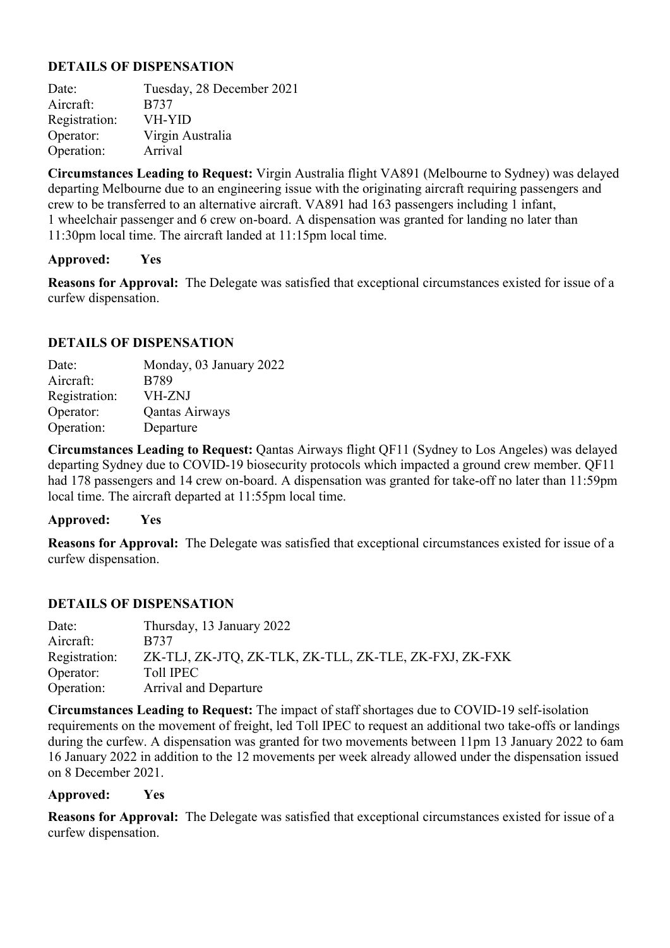Date: Tuesday, 28 December 2021 Aircraft: B737<br>Registration: VH-YID Registration: Operator: Virgin Australia Operation: Arrival

**Circumstances Leading to Request:** Virgin Australia flight VA891 (Melbourne to Sydney) was delayed departing Melbourne due to an engineering issue with the originating aircraft requiring passengers and crew to be transferred to an alternative aircraft. VA891 had 163 passengers including 1 infant, 1 wheelchair passenger and 6 crew on-board. A dispensation was granted for landing no later than 11:30pm local time. The aircraft landed at 11:15pm local time.

### **Approved: Yes**

**Reasons for Approval:** The Delegate was satisfied that exceptional circumstances existed for issue of a curfew dispensation.

### **DETAILS OF DISPENSATION**

| Date:         | Monday, 03 January 2022 |
|---------------|-------------------------|
| Aircraft:     | <b>B789</b>             |
| Registration: | <b>VH-ZNJ</b>           |
| Operator:     | Qantas Airways          |
| Operation:    | Departure               |

**Circumstances Leading to Request:** Qantas Airways flight QF11 (Sydney to Los Angeles) was delayed departing Sydney due to COVID-19 biosecurity protocols which impacted a ground crew member. QF11 had 178 passengers and 14 crew on-board. A dispensation was granted for take-off no later than 11:59pm local time. The aircraft departed at 11:55pm local time.

#### **Approved: Yes**

**Reasons for Approval:** The Delegate was satisfied that exceptional circumstances existed for issue of a curfew dispensation.

### **DETAILS OF DISPENSATION**

| Thursday, 13 January 2022                              |
|--------------------------------------------------------|
| B737                                                   |
| ZK-TLJ, ZK-JTQ, ZK-TLK, ZK-TLL, ZK-TLE, ZK-FXJ, ZK-FXK |
| <b>Toll IPEC</b>                                       |
| <b>Arrival and Departure</b>                           |
|                                                        |

**Circumstances Leading to Request:** The impact of staff shortages due to COVID-19 self-isolation requirements on the movement of freight, led Toll IPEC to request an additional two take-offs or landings during the curfew. A dispensation was granted for two movements between 11pm 13 January 2022 to 6am 16 January 2022 in addition to the 12 movements per week already allowed under the dispensation issued on 8 December 2021.

### **Approved: Yes**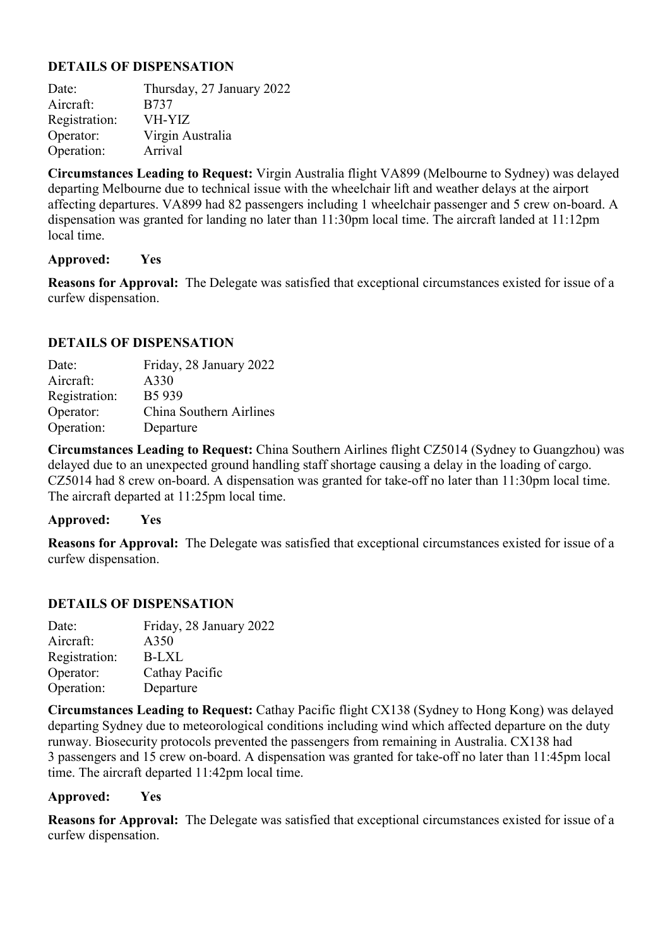Date: Thursday, 27 January 2022 Aircraft: B737 Registration: VH-YIZ Operator: Virgin Australia Operation: Arrival

**Circumstances Leading to Request:** Virgin Australia flight VA899 (Melbourne to Sydney) was delayed departing Melbourne due to technical issue with the wheelchair lift and weather delays at the airport affecting departures. VA899 had 82 passengers including 1 wheelchair passenger and 5 crew on-board. A dispensation was granted for landing no later than 11:30pm local time. The aircraft landed at 11:12pm local time.

#### **Approved: Yes**

**Reasons for Approval:** The Delegate was satisfied that exceptional circumstances existed for issue of a curfew dispensation.

### **DETAILS OF DISPENSATION**

| Date:         | Friday, 28 January 2022 |
|---------------|-------------------------|
| Aircraft:     | A330                    |
| Registration: | B5 939                  |
| Operator:     | China Southern Airlines |
| Operation:    | Departure               |

**Circumstances Leading to Request:** China Southern Airlines flight CZ5014 (Sydney to Guangzhou) was delayed due to an unexpected ground handling staff shortage causing a delay in the loading of cargo. CZ5014 had 8 crew on-board. A dispensation was granted for take-off no later than 11:30pm local time. The aircraft departed at 11:25pm local time.

#### **Approved: Yes**

**Reasons for Approval:** The Delegate was satisfied that exceptional circumstances existed for issue of a curfew dispensation.

### **DETAILS OF DISPENSATION**

| Date:         | Friday, 28 January 2022 |
|---------------|-------------------------|
| Aircraft:     | A350                    |
| Registration: | B-LXL                   |
| Operator:     | Cathay Pacific          |
| Operation:    | Departure               |

**Circumstances Leading to Request:** Cathay Pacific flight CX138 (Sydney to Hong Kong) was delayed departing Sydney due to meteorological conditions including wind which affected departure on the duty runway. Biosecurity protocols prevented the passengers from remaining in Australia. CX138 had 3 passengers and 15 crew on-board. A dispensation was granted for take-off no later than 11:45pm local time. The aircraft departed 11:42pm local time.

### **Approved: Yes**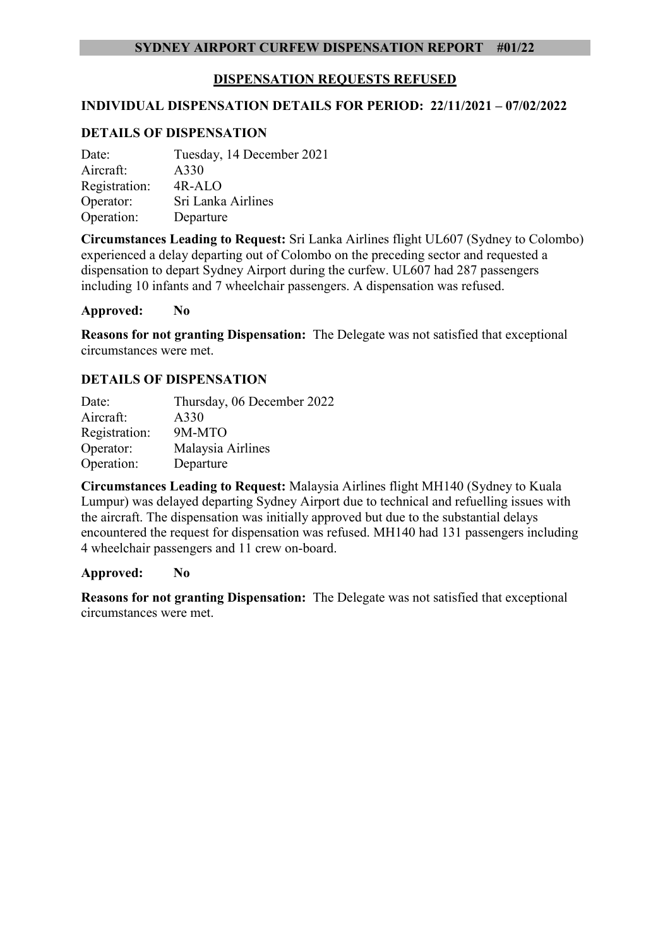### **DISPENSATION REQUESTS REFUSED**

#### **INDIVIDUAL DISPENSATION DETAILS FOR PERIOD: 22/11/2021 – 07/02/2022**

#### **DETAILS OF DISPENSATION**

| Date:         | Tuesday, 14 December 2021 |
|---------------|---------------------------|
| Aircraft:     | A330                      |
| Registration: | 4R-ALO                    |
| Operator:     | Sri Lanka Airlines        |
| Operation:    | Departure                 |

**Circumstances Leading to Request:** Sri Lanka Airlines flight UL607 (Sydney to Colombo) experienced a delay departing out of Colombo on the preceding sector and requested a dispensation to depart Sydney Airport during the curfew. UL607 had 287 passengers including 10 infants and 7 wheelchair passengers. A dispensation was refused.

#### **Approved: No**

**Reasons for not granting Dispensation:** The Delegate was not satisfied that exceptional circumstances were met.

#### **DETAILS OF DISPENSATION**

| Date:         | Thursday, 06 December 2022 |
|---------------|----------------------------|
| Aircraft:     | A330                       |
| Registration: | 9M-MTO                     |
| Operator:     | Malaysia Airlines          |
| Operation:    | Departure                  |

**Circumstances Leading to Request:** Malaysia Airlines flight MH140 (Sydney to Kuala Lumpur) was delayed departing Sydney Airport due to technical and refuelling issues with the aircraft. The dispensation was initially approved but due to the substantial delays encountered the request for dispensation was refused. MH140 had 131 passengers including 4 wheelchair passengers and 11 crew on-board.

#### **Approved: No**

**Reasons for not granting Dispensation:** The Delegate was not satisfied that exceptional circumstances were met.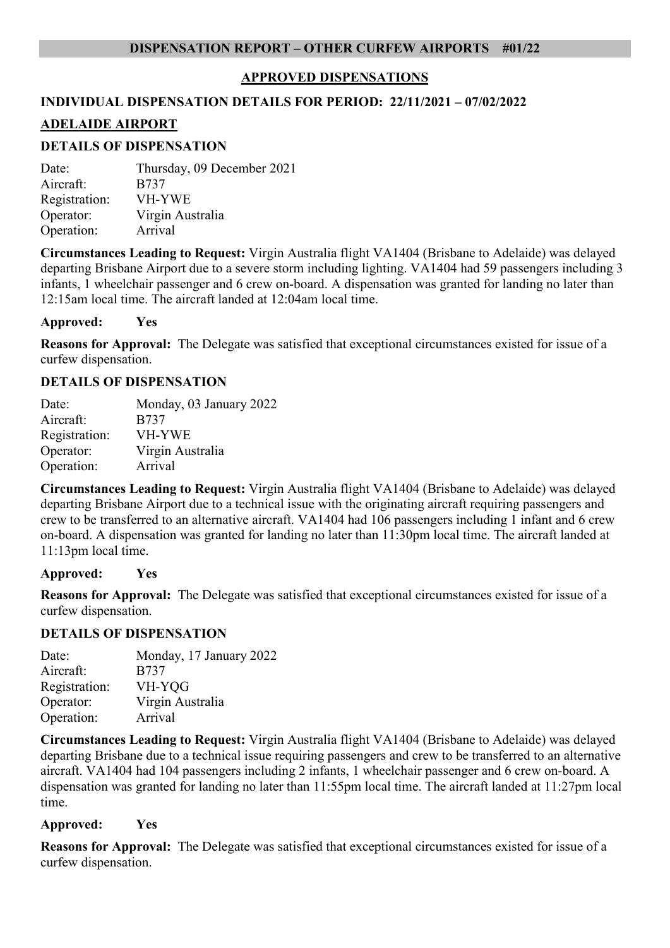### **APPROVED DISPENSATIONS**

# **INDIVIDUAL DISPENSATION DETAILS FOR PERIOD: 22/11/2021 – 07/02/2022 ADELAIDE AIRPORT**

# **DETAILS OF DISPENSATION**

Date: Thursday, 09 December 2021 Aircraft: B737 Registration: VH-YWE Operator: Virgin Australia Operation: Arrival

**Circumstances Leading to Request:** Virgin Australia flight VA1404 (Brisbane to Adelaide) was delayed departing Brisbane Airport due to a severe storm including lighting. VA1404 had 59 passengers including 3 infants, 1 wheelchair passenger and 6 crew on-board. A dispensation was granted for landing no later than 12:15am local time. The aircraft landed at 12:04am local time.

**Approved: Yes** 

**Reasons for Approval:** The Delegate was satisfied that exceptional circumstances existed for issue of a curfew dispensation.

#### **DETAILS OF DISPENSATION**

| Date:         | Monday, 03 January 2022 |
|---------------|-------------------------|
| Aircraft:     | <b>B737</b>             |
| Registration: | <b>VH-YWE</b>           |
| Operator:     | Virgin Australia        |
| Operation:    | Arrival                 |

**Circumstances Leading to Request:** Virgin Australia flight VA1404 (Brisbane to Adelaide) was delayed departing Brisbane Airport due to a technical issue with the originating aircraft requiring passengers and crew to be transferred to an alternative aircraft. VA1404 had 106 passengers including 1 infant and 6 crew on-board. A dispensation was granted for landing no later than 11:30pm local time. The aircraft landed at 11:13pm local time.

#### **Approved: Yes**

**Reasons for Approval:** The Delegate was satisfied that exceptional circumstances existed for issue of a curfew dispensation.

### **DETAILS OF DISPENSATION**

| Date:         | Monday, 17 January 2022 |
|---------------|-------------------------|
| Aircraft:     | <b>B737</b>             |
| Registration: | VH-YQG                  |
| Operator:     | Virgin Australia        |
| Operation:    | Arrival                 |

**Circumstances Leading to Request:** Virgin Australia flight VA1404 (Brisbane to Adelaide) was delayed departing Brisbane due to a technical issue requiring passengers and crew to be transferred to an alternative aircraft. VA1404 had 104 passengers including 2 infants, 1 wheelchair passenger and 6 crew on-board. A dispensation was granted for landing no later than 11:55pm local time. The aircraft landed at 11:27pm local time.

#### **Approved: Yes**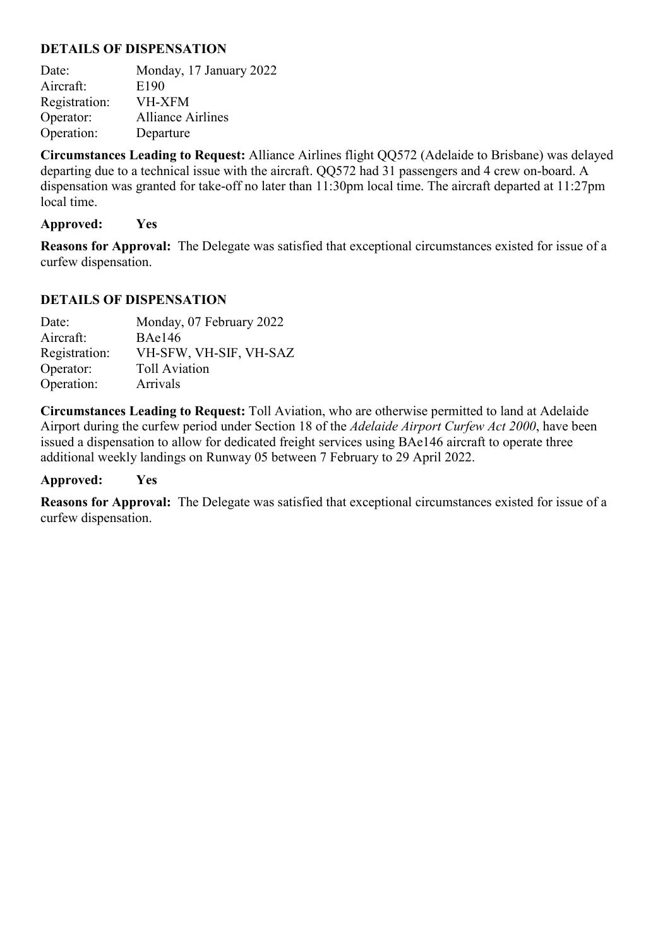Date: Monday, 17 January 2022 Aircraft: E190 Registration: VH-XFM Operator: Alliance Airlines Operation: Departure

**Circumstances Leading to Request:** Alliance Airlines flight QQ572 (Adelaide to Brisbane) was delayed departing due to a technical issue with the aircraft. QQ572 had 31 passengers and 4 crew on-board. A dispensation was granted for take-off no later than 11:30pm local time. The aircraft departed at 11:27pm local time.

#### **Approved: Yes**

**Reasons for Approval:** The Delegate was satisfied that exceptional circumstances existed for issue of a curfew dispensation.

### **DETAILS OF DISPENSATION**

| Date:         | Monday, 07 February 2022 |
|---------------|--------------------------|
| Aircraft:     | <b>BAe146</b>            |
| Registration: | VH-SFW, VH-SIF, VH-SAZ   |
| Operator:     | <b>Toll Aviation</b>     |
| Operation:    | Arrivals                 |

**Circumstances Leading to Request:** Toll Aviation, who are otherwise permitted to land at Adelaide Airport during the curfew period under Section 18 of the *Adelaide Airport Curfew Act 2000*, have been issued a dispensation to allow for dedicated freight services using BAe146 aircraft to operate three additional weekly landings on Runway 05 between 7 February to 29 April 2022.

#### **Approved: Yes**